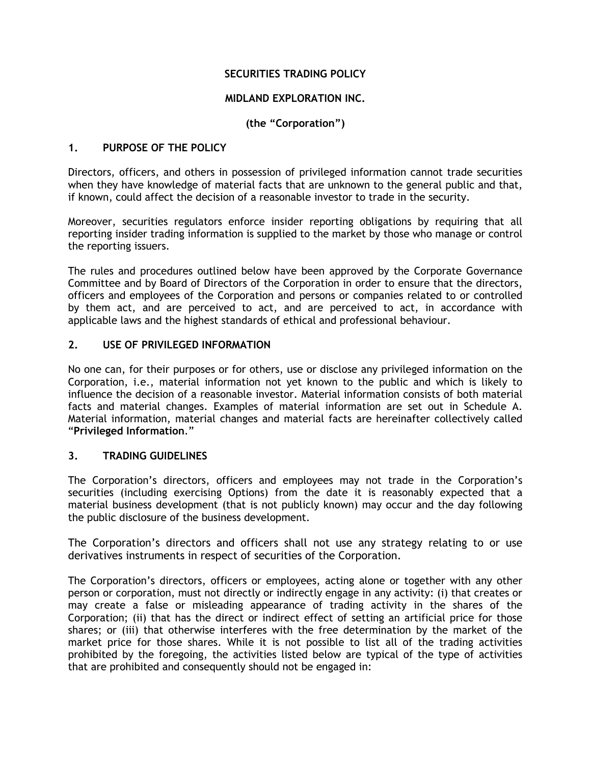# **SECURITIES TRADING POLICY**

### **MIDLAND EXPLORATION INC.**

# **(the "Corporation")**

## **1. PURPOSE OF THE POLICY**

Directors, officers, and others in possession of privileged information cannot trade securities when they have knowledge of material facts that are unknown to the general public and that, if known, could affect the decision of a reasonable investor to trade in the security.

Moreover, securities regulators enforce insider reporting obligations by requiring that all reporting insider trading information is supplied to the market by those who manage or control the reporting issuers.

The rules and procedures outlined below have been approved by the Corporate Governance Committee and by Board of Directors of the Corporation in order to ensure that the directors, officers and employees of the Corporation and persons or companies related to or controlled by them act, and are perceived to act, and are perceived to act, in accordance with applicable laws and the highest standards of ethical and professional behaviour.

## **2. USE OF PRIVILEGED INFORMATION**

No one can, for their purposes or for others, use or disclose any privileged information on the Corporation, i.e., material information not yet known to the public and which is likely to influence the decision of a reasonable investor. Material information consists of both material facts and material changes. Examples of material information are set out in Schedule A. Material information, material changes and material facts are hereinafter collectively called "**Privileged Information**."

### **3. TRADING GUIDELINES**

The Corporation's directors, officers and employees may not trade in the Corporation's securities (including exercising Options) from the date it is reasonably expected that a material business development (that is not publicly known) may occur and the day following the public disclosure of the business development.

The Corporation's directors and officers shall not use any strategy relating to or use derivatives instruments in respect of securities of the Corporation.

The Corporation's directors, officers or employees, acting alone or together with any other person or corporation, must not directly or indirectly engage in any activity: (i) that creates or may create a false or misleading appearance of trading activity in the shares of the Corporation; (ii) that has the direct or indirect effect of setting an artificial price for those shares; or (iii) that otherwise interferes with the free determination by the market of the market price for those shares. While it is not possible to list all of the trading activities prohibited by the foregoing, the activities listed below are typical of the type of activities that are prohibited and consequently should not be engaged in: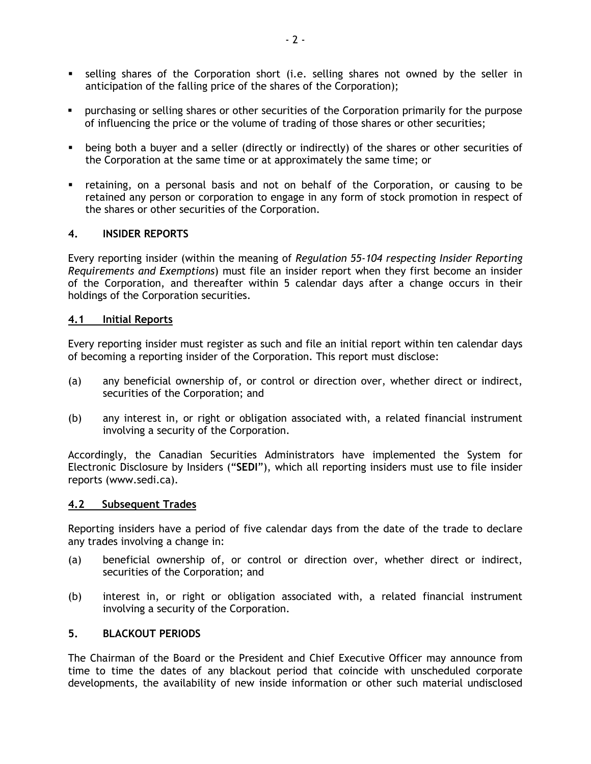- selling shares of the Corporation short (i.e. selling shares not owned by the seller in anticipation of the falling price of the shares of the Corporation);
- purchasing or selling shares or other securities of the Corporation primarily for the purpose of influencing the price or the volume of trading of those shares or other securities;
- being both a buyer and a seller (directly or indirectly) of the shares or other securities of the Corporation at the same time or at approximately the same time; or
- retaining, on a personal basis and not on behalf of the Corporation, or causing to be retained any person or corporation to engage in any form of stock promotion in respect of the shares or other securities of the Corporation.

#### **4. INSIDER REPORTS**

Every reporting insider (within the meaning of *Regulation 55-104 respecting Insider Reporting Requirements and Exemptions*) must file an insider report when they first become an insider of the Corporation, and thereafter within 5 calendar days after a change occurs in their holdings of the Corporation securities.

#### **4.1 Initial Reports**

Every reporting insider must register as such and file an initial report within ten calendar days of becoming a reporting insider of the Corporation. This report must disclose:

- (a) any beneficial ownership of, or control or direction over, whether direct or indirect, securities of the Corporation; and
- (b) any interest in, or right or obligation associated with, a related financial instrument involving a security of the Corporation.

Accordingly, the Canadian Securities Administrators have implemented the System for Electronic Disclosure by Insiders ("**SEDI**"), which all reporting insiders must use to file insider reports (www.sedi.ca).

#### **4.2 Subsequent Trades**

Reporting insiders have a period of five calendar days from the date of the trade to declare any trades involving a change in:

- (a) beneficial ownership of, or control or direction over, whether direct or indirect, securities of the Corporation; and
- (b) interest in, or right or obligation associated with, a related financial instrument involving a security of the Corporation.

#### **5. BLACKOUT PERIODS**

The Chairman of the Board or the President and Chief Executive Officer may announce from time to time the dates of any blackout period that coincide with unscheduled corporate developments, the availability of new inside information or other such material undisclosed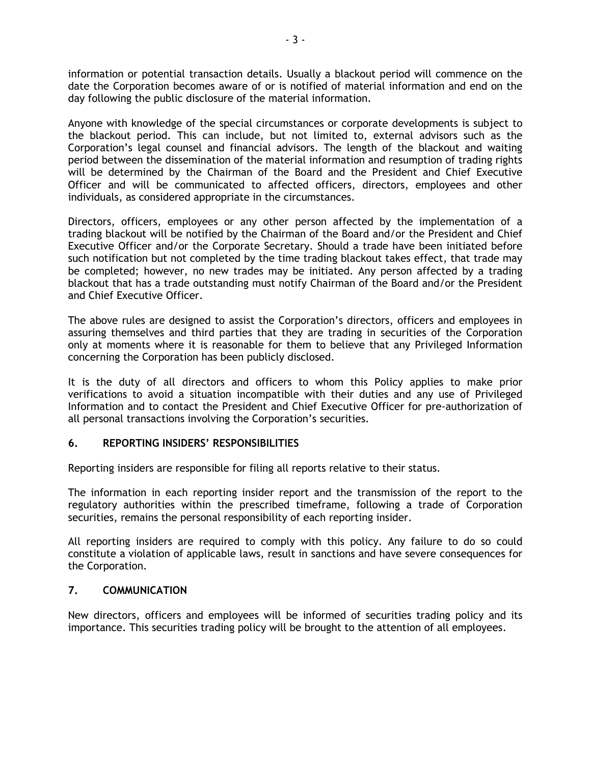information or potential transaction details. Usually a blackout period will commence on the date the Corporation becomes aware of or is notified of material information and end on the day following the public disclosure of the material information.

Anyone with knowledge of the special circumstances or corporate developments is subject to the blackout period. This can include, but not limited to, external advisors such as the Corporation's legal counsel and financial advisors. The length of the blackout and waiting period between the dissemination of the material information and resumption of trading rights will be determined by the Chairman of the Board and the President and Chief Executive Officer and will be communicated to affected officers, directors, employees and other individuals, as considered appropriate in the circumstances.

Directors, officers, employees or any other person affected by the implementation of a trading blackout will be notified by the Chairman of the Board and/or the President and Chief Executive Officer and/or the Corporate Secretary. Should a trade have been initiated before such notification but not completed by the time trading blackout takes effect, that trade may be completed; however, no new trades may be initiated. Any person affected by a trading blackout that has a trade outstanding must notify Chairman of the Board and/or the President and Chief Executive Officer.

The above rules are designed to assist the Corporation's directors, officers and employees in assuring themselves and third parties that they are trading in securities of the Corporation only at moments where it is reasonable for them to believe that any Privileged Information concerning the Corporation has been publicly disclosed.

It is the duty of all directors and officers to whom this Policy applies to make prior verifications to avoid a situation incompatible with their duties and any use of Privileged Information and to contact the President and Chief Executive Officer for pre-authorization of all personal transactions involving the Corporation's securities.

### **6. REPORTING INSIDERS' RESPONSIBILITIES**

Reporting insiders are responsible for filing all reports relative to their status.

The information in each reporting insider report and the transmission of the report to the regulatory authorities within the prescribed timeframe, following a trade of Corporation securities, remains the personal responsibility of each reporting insider.

All reporting insiders are required to comply with this policy. Any failure to do so could constitute a violation of applicable laws, result in sanctions and have severe consequences for the Corporation.

### **7. COMMUNICATION**

New directors, officers and employees will be informed of securities trading policy and its importance. This securities trading policy will be brought to the attention of all employees.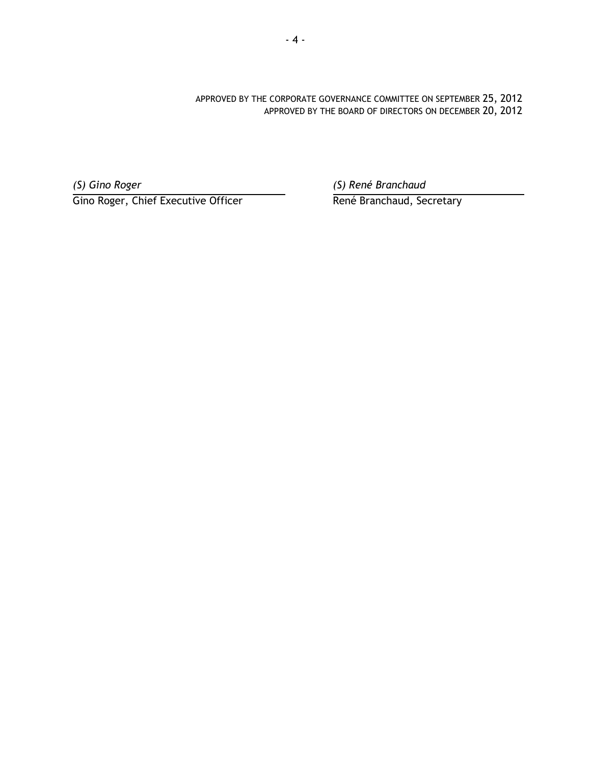APPROVED BY THE CORPORATE GOVERNANCE COMMITTEE ON SEPTEMBER 25, 2012 APPROVED BY THE BOARD OF DIRECTORS ON DECEMBER 20, 2012

Gino Roger, Chief Executive Officer René Branchaud, Secretary

*(S) Gino Roger (S) René Branchaud*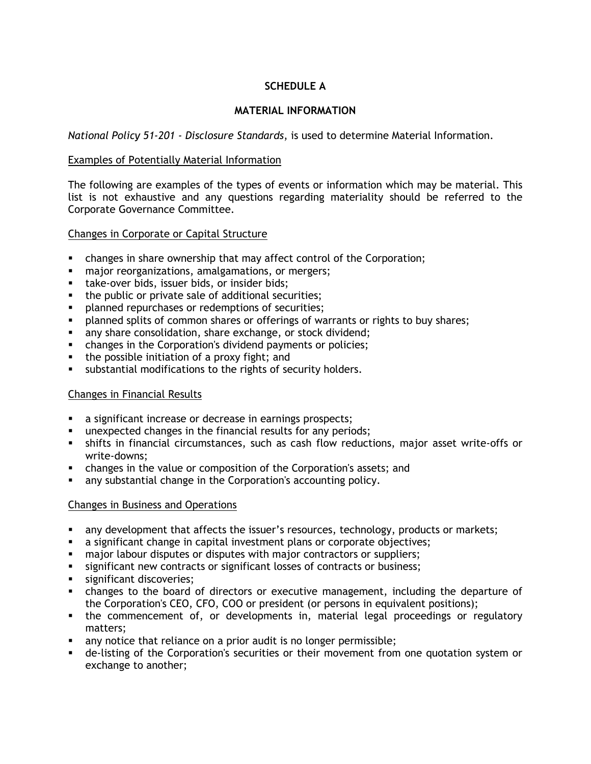# **SCHEDULE A**

# **MATERIAL INFORMATION**

*National Policy 51-201 - Disclosure Standards*, is used to determine Material Information.

## Examples of Potentially Material Information

The following are examples of the types of events or information which may be material. This list is not exhaustive and any questions regarding materiality should be referred to the Corporate Governance Committee.

# Changes in Corporate or Capital Structure

- changes in share ownership that may affect control of the Corporation;
- **najor reorganizations, amalgamations, or mergers;**
- **take-over bids, issuer bids, or insider bids;**
- **the public or private sale of additional securities;**
- **PEDEPERIFFEE ISLEM** planned repurchases or redemptions of securities;
- planned splits of common shares or offerings of warrants or rights to buy shares;
- **any share consolidation, share exchange, or stock dividend;**
- changes in the Corporation's dividend payments or policies;
- the possible initiation of a proxy fight; and
- substantial modifications to the rights of security holders.

# Changes in Financial Results

- a significant increase or decrease in earnings prospects;
- unexpected changes in the financial results for any periods;
- shifts in financial circumstances, such as cash flow reductions, major asset write-offs or write-downs;
- changes in the value or composition of the Corporation's assets; and
- any substantial change in the Corporation's accounting policy.

### Changes in Business and Operations

- any development that affects the issuer's resources, technology, products or markets;
- a significant change in capital investment plans or corporate objectives;
- major labour disputes or disputes with major contractors or suppliers;
- significant new contracts or significant losses of contracts or business;
- significant discoveries;
- changes to the board of directors or executive management, including the departure of the Corporation's CEO, CFO, COO or president (or persons in equivalent positions);
- the commencement of, or developments in, material legal proceedings or regulatory matters;
- any notice that reliance on a prior audit is no longer permissible;
- de-listing of the Corporation's securities or their movement from one quotation system or exchange to another;